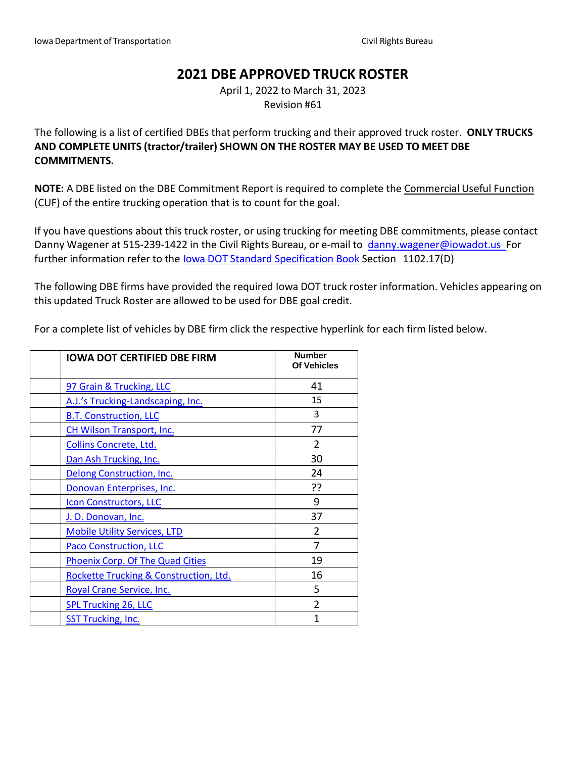# **2021 DBE APPROVED TRUCK ROSTER**

April 1, 2022 to March 31, 2023 Revision #61

The following is a list of certified DBEs that perform trucking and their approved truck roster. **ONLY TRUCKS AND COMPLETE UNITS (tractor/trailer) SHOWN ON THE ROSTER MAY BE USED TO MEET DBE COMMITMENTS.**

**NOTE:** A DBE listed on the DBE Commitment Report is required to complete the Commercial Useful Function (CUF) of the entire trucking operation that is to count for the goal.

If you have questions about this truck roster, or using trucking for meeting DBE commitments, please contact Danny Wagener at 515-239-1422 in the Civil Rights Bureau, or e-mail to [danny.wagener@iowadot.us](mailto:danny.wagener@iowadot.us) For further information refer to the Iowa DOT Standard [Specification](http://www.iowadot.gov/erl/current/GS/Navigation/nav11.htm) Book Section 1102.17(D)

The following DBE firms have provided the required Iowa DOT truck roster information. Vehicles appearing on this updated Truck Roster are allowed to be used for DBE goal credit.

For a complete list of vehicles by DBE firm click the respective hyperlink for each firm listed below.

| <b>IOWA DOT CERTIFIED DBE FIRM</b>      | <b>Number</b><br><b>Of Vehicles</b> |
|-----------------------------------------|-------------------------------------|
| 97 Grain & Trucking, LLC                | 41                                  |
| A.J.'s Trucking-Landscaping, Inc.       | 15                                  |
| <b>B.T. Construction, LLC</b>           | 3                                   |
| <b>CH Wilson Transport, Inc.</b>        | 77                                  |
| Collins Concrete, Ltd.                  | $\mathfrak{p}$                      |
| Dan Ash Trucking, Inc.                  | 30                                  |
| Delong Construction, Inc.               | 24                                  |
| Donovan Enterprises, Inc.               | ??                                  |
| <b>Icon Constructors, LLC</b>           | 9                                   |
| J. D. Donovan, Inc.                     | 37                                  |
| <b>Mobile Utility Services, LTD</b>     | $\overline{2}$                      |
| <b>Paco Construction, LLC</b>           | 7                                   |
| <b>Phoenix Corp. Of The Quad Cities</b> | 19                                  |
| Rockette Trucking & Construction, Ltd.  | 16                                  |
| Royal Crane Service, Inc.               | 5                                   |
| <b>SPL Trucking 26, LLC</b>             | $\overline{2}$                      |
| <b>SST Trucking, Inc.</b>               | 1                                   |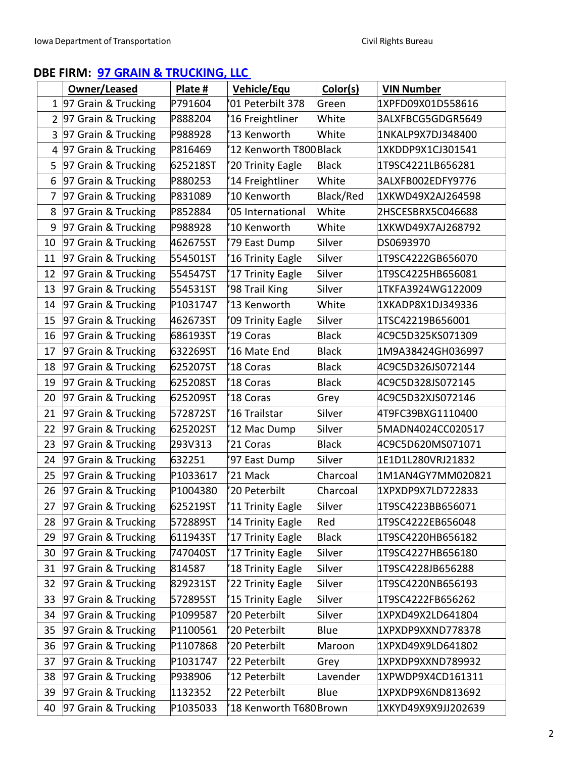# <span id="page-1-0"></span>**DBE FIRM: 97 GRAIN & [TRUCKING,](https://secure.iowadot.gov/DBE/Directory/Details/230?currentFilter=97%20Grain%20%26%20Trucking%2C%20LLC&currentType=firmName) LLC**

|                | Owner/Leased          | Plate #  | <b>Vehicle/Equ</b>      | Color(s)     | <b>VIN Number</b>   |
|----------------|-----------------------|----------|-------------------------|--------------|---------------------|
|                | 1 97 Grain & Trucking | P791604  | '01 Peterbilt 378       | Green        | 1XPFD09X01D558616   |
| $\overline{2}$ | 97 Grain & Trucking   | P888204  | '16 Freightliner        | White        | 3ALXFBCG5GDGR5649   |
| 3              | 97 Grain & Trucking   | P988928  | '13 Kenworth            | White        | 1NKALP9X7DJ348400   |
| 4              | 97 Grain & Trucking   | P816469  | 12 Kenworth T800Black   |              | 1XKDDP9X1CJ301541   |
| 5              | 97 Grain & Trucking   | 625218ST | 20 Trinity Eagle        | <b>Black</b> | 1T9SC4221LB656281   |
| 6              | 97 Grain & Trucking   | P880253  | '14 Freightliner        | White        | 3ALXFB002EDFY9776   |
| 7              | 97 Grain & Trucking   | P831089  | '10 Kenworth            | Black/Red    | 1XKWD49X2AJ264598   |
| 8              | 97 Grain & Trucking   | P852884  | '05 International       | White        | 2HSCESBRX5C046688   |
| 9              | 97 Grain & Trucking   | P988928  | '10 Kenworth            | White        | 1XKWD49X7AJ268792   |
| 10             | 97 Grain & Trucking   | 462675ST | '79 East Dump           | Silver       | DS0693970           |
| 11             | 97 Grain & Trucking   | 554501ST | '16 Trinity Eagle       | Silver       | 1T9SC4222GB656070   |
| 12             | 97 Grain & Trucking   | 554547ST | '17 Trinity Eagle       | Silver       | 1T9SC4225HB656081   |
| 13             | 97 Grain & Trucking   | 554531ST | '98 Trail King          | Silver       | 1TKFA3924WG122009   |
| 14             | 97 Grain & Trucking   | P1031747 | '13 Kenworth            | White        | 1XKADP8X1DJ349336   |
| 15             | 97 Grain & Trucking   | 462673ST | '09 Trinity Eagle       | Silver       | 1TSC42219B656001    |
| 16             | 97 Grain & Trucking   | 686193ST | '19 Coras               | <b>Black</b> | 4C9C5D325KS071309   |
| 17             | 97 Grain & Trucking   | 632269ST | '16 Mate End            | <b>Black</b> | 1M9A38424GH036997   |
| 18             | 97 Grain & Trucking   | 625207ST | '18 Coras               | <b>Black</b> | 4C9C5D326JS072144   |
| 19             | 97 Grain & Trucking   | 625208ST | '18 Coras               | <b>Black</b> | 4C9C5D328JS072145   |
| 20             | 97 Grain & Trucking   | 625209ST | '18 Coras               | Grey         | 4C9C5D32XJS072146   |
| 21             | 97 Grain & Trucking   | 572872ST | '16 Trailstar           | Silver       | 4T9FC39BXG1110400   |
| 22             | 97 Grain & Trucking   | 625202ST | '12 Mac Dump            | Silver       | 5MADN4024CC020517   |
| 23             | 97 Grain & Trucking   | 293V313  | '21 Coras               | <b>Black</b> | 4C9C5D620MS071071   |
| 24             | 97 Grain & Trucking   | 632251   | '97 East Dump           | Silver       | 1E1D1L280VRJ21832   |
| 25             | 97 Grain & Trucking   | P1033617 | '21 Mack                | Charcoal     | 1M1AN4GY7MM020821   |
| 26             | 97 Grain & Trucking   | P1004380 | 20 Peterbilt            | Charcoal     | 1XPXDP9X7LD722833   |
| 27             | 97 Grain & Trucking   | 625219ST | 11 Trinity Eagle        | Silver       | 1T9SC4223BB656071   |
| 28             | 97 Grain & Trucking   | 572889ST | 14 Trinity Eagle        | Red          | 1T9SC4222EB656048   |
| 29             | 97 Grain & Trucking   | 611943ST | 17 Trinity Eagle        | <b>Black</b> | 1T9SC4220HB656182   |
| 30             | 97 Grain & Trucking   | 747040ST | '17 Trinity Eagle       | Silver       | 1T9SC4227HB656180   |
| 31             | 97 Grain & Trucking   | 814587   | '18 Trinity Eagle       | Silver       | 1T9SC4228JB656288   |
| 32             | 97 Grain & Trucking   | 829231ST | '22 Trinity Eagle       | Silver       | 1T9SC4220NB656193   |
| 33             | 97 Grain & Trucking   | 572895ST | '15 Trinity Eagle       | Silver       | 1T9SC4222FB656262   |
| 34             | 97 Grain & Trucking   | P1099587 | '20 Peterbilt           | Silver       | 1XPXD49X2LD641804   |
| 35             | 97 Grain & Trucking   | P1100561 | '20 Peterbilt           | Blue         | 1XPXDP9XXND778378   |
| 36             | 97 Grain & Trucking   | P1107868 | '20 Peterbilt           | Maroon       | 1XPXD49X9LD641802   |
| 37             | 97 Grain & Trucking   | P1031747 | '22 Peterbilt           | Grey         | 1XPXDP9XXND789932   |
| 38             | 97 Grain & Trucking   | P938906  | '12 Peterbilt           | Lavender     | 1XPWDP9X4CD161311   |
| 39             | 97 Grain & Trucking   | 1132352  | '22 Peterbilt           | Blue         | 1XPXDP9X6ND813692   |
| 40             | 97 Grain & Trucking   | P1035033 | 18 Kenworth T680 Brown' |              | 1XKYD49X9X9JJ202639 |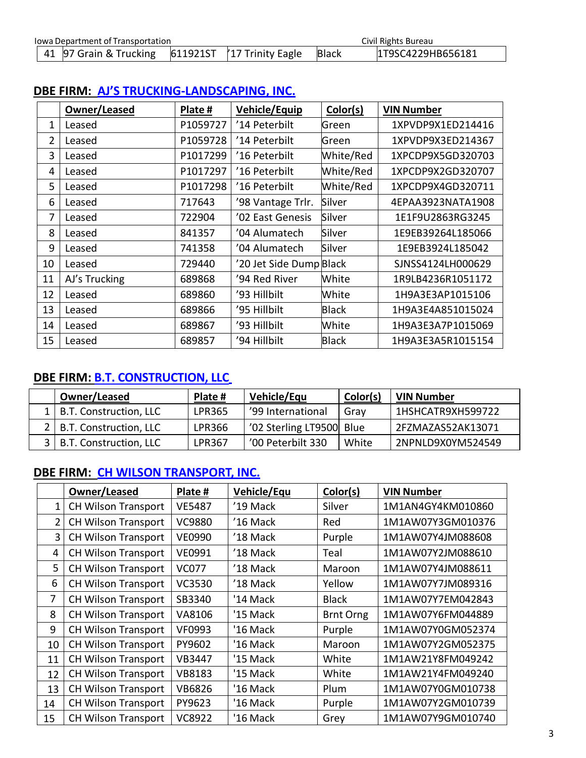| <b>Iowa Department of Transportation</b> |                        |  | Civil Rights Bureau                  |              |                   |
|------------------------------------------|------------------------|--|--------------------------------------|--------------|-------------------|
|                                          | 41 97 Grain & Trucking |  | $611921$ ST $\vert$ 17 Trinity Eagle | <b>Black</b> | 1T9SC4229HB656181 |

|                | Owner/Leased  | Plate #  | Vehicle/Equip           | Color(s)     | <b>VIN Number</b> |
|----------------|---------------|----------|-------------------------|--------------|-------------------|
| 1              | Leased        | P1059727 | '14 Peterbilt           | Green        | 1XPVDP9X1ED214416 |
| $\overline{2}$ | Leased        | P1059728 | '14 Peterbilt           | Green        | 1XPVDP9X3ED214367 |
| 3              | Leased        | P1017299 | '16 Peterbilt           | White/Red    | 1XPCDP9X5GD320703 |
| 4              | Leased        | P1017297 | '16 Peterbilt           | White/Red    | 1XPCDP9X2GD320707 |
| 5              | Leased        | P1017298 | '16 Peterbilt           | White/Red    | 1XPCDP9X4GD320711 |
| 6              | Leased        | 717643   | '98 Vantage Trlr.       | Silver       | 4EPAA3923NATA1908 |
| 7              | Leased        | 722904   | '02 East Genesis        | Silver       | 1E1F9U2863RG3245  |
| 8              | Leased        | 841357   | '04 Alumatech           | Silver       | 1E9EB39264L185066 |
| 9              | Leased        | 741358   | '04 Alumatech           | Silver       | 1E9EB3924L185042  |
| 10             | Leased        | 729440   | '20 Jet Side Dump Black |              | SJNSS4124LH000629 |
| 11             | AJ's Trucking | 689868   | '94 Red River           | White        | 1R9LB4236R1051172 |
| 12             | Leased        | 689860   | '93 Hillbilt            | White        | 1H9A3E3AP1015106  |
| 13             | Leased        | 689866   | '95 Hillbilt            | <b>Black</b> | 1H9A3E4A851015024 |
| 14             | Leased        | 689867   | '93 Hillbilt            | White        | 1H9A3E3A7P1015069 |
| 15             | Leased        | 689857   | '94 Hillbilt            | <b>Black</b> | 1H9A3E3A5R1015154 |

# <span id="page-2-0"></span>**DBE FIRM: AJ'S TRUCKING-LANDSCAPING, INC.**

## <span id="page-2-1"></span>**DBE FIRM: [B.T. CONSTRUCTION, LLC](#page-2-1)**

| Owner/Leased               | Plate #       | Vehicle/Equ              | Color(s) | <b>VIN Number</b> |
|----------------------------|---------------|--------------------------|----------|-------------------|
| 1   B.T. Construction, LLC | <b>LPR365</b> | '99 International        | Grav     | 1HSHCATR9XH599722 |
| 2   B.T. Construction, LLC | LPR366        | '02 Sterling LT9500 Blue |          | 2FZMAZAS52AK13071 |
| 3   B.T. Construction, LLC | LPR367        | '00 Peterbilt 330        | White    | 2NPNLD9X0YM524549 |

## **DBE FIRM: CH WILSON [TRANSPORT,](https://secure.iowadot.gov/DBE/Directory/Details/181?currentFilter=CH%20Wilson%20Transport%2C%20Inc.&currentType=firmName) INC.**

<span id="page-2-2"></span>

|              | Owner/Leased               | Plate #       | Vehicle/Equ | Color(s)         | <b>VIN Number</b> |
|--------------|----------------------------|---------------|-------------|------------------|-------------------|
| $\mathbf{1}$ | <b>CH Wilson Transport</b> | <b>VE5487</b> | '19 Mack    | Silver           | 1M1AN4GY4KM010860 |
| 2            | <b>CH Wilson Transport</b> | <b>VC9880</b> | '16 Mack    | Red              | 1M1AW07Y3GM010376 |
| 3            | <b>CH Wilson Transport</b> | <b>VE0990</b> | '18 Mack    | Purple           | 1M1AW07Y4JM088608 |
| 4            | <b>CH Wilson Transport</b> | VE0991        | '18 Mack    | Teal             | 1M1AW07Y2JM088610 |
| 5            | <b>CH Wilson Transport</b> | <b>VC077</b>  | '18 Mack    | Maroon           | 1M1AW07Y4JM088611 |
| 6            | <b>CH Wilson Transport</b> | <b>VC3530</b> | '18 Mack    | Yellow           | 1M1AW07Y7JM089316 |
| 7            | <b>CH Wilson Transport</b> | SB3340        | '14 Mack    | <b>Black</b>     | 1M1AW07Y7EM042843 |
| 8            | <b>CH Wilson Transport</b> | VA8106        | '15 Mack    | <b>Brnt Orng</b> | 1M1AW07Y6FM044889 |
| 9            | <b>CH Wilson Transport</b> | <b>VF0993</b> | '16 Mack    | Purple           | 1M1AW07Y0GM052374 |
| 10           | <b>CH Wilson Transport</b> | PY9602        | '16 Mack    | Maroon           | 1M1AW07Y2GM052375 |
| 11           | <b>CH Wilson Transport</b> | VB3447        | '15 Mack    | White            | 1M1AW21Y8FM049242 |
| 12           | <b>CH Wilson Transport</b> | <b>VB8183</b> | '15 Mack    | White            | 1M1AW21Y4FM049240 |
| 13           | <b>CH Wilson Transport</b> | <b>VB6826</b> | '16 Mack    | Plum             | 1M1AW07Y0GM010738 |
| 14           | <b>CH Wilson Transport</b> | PY9623        | '16 Mack    | Purple           | 1M1AW07Y2GM010739 |
| 15           | <b>CH Wilson Transport</b> | <b>VC8922</b> | '16 Mack    | Grey             | 1M1AW07Y9GM010740 |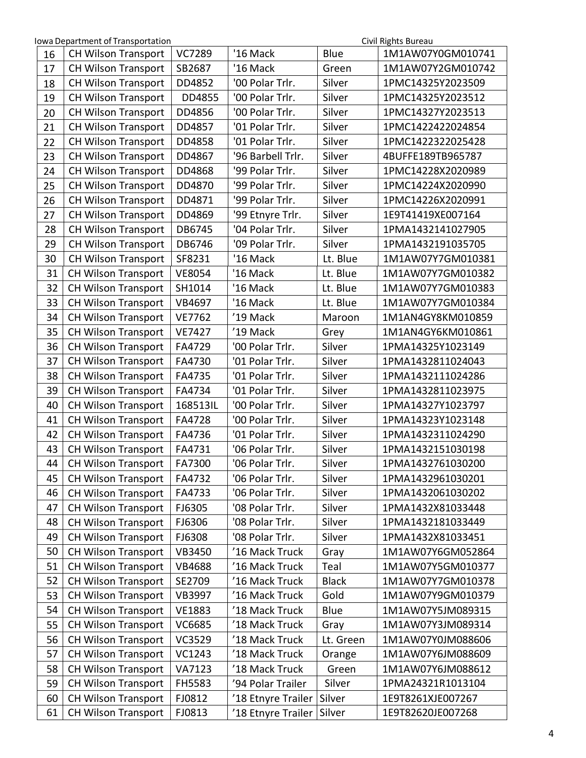| Iowa Department of Transportation<br>Civil Rights Bureau |                            |               |                    |              |                   |  |  |
|----------------------------------------------------------|----------------------------|---------------|--------------------|--------------|-------------------|--|--|
| 16                                                       | <b>CH Wilson Transport</b> | <b>VC7289</b> | '16 Mack           | Blue         | 1M1AW07Y0GM010741 |  |  |
| 17                                                       | <b>CH Wilson Transport</b> | SB2687        | '16 Mack           | Green        | 1M1AW07Y2GM010742 |  |  |
| 18                                                       | <b>CH Wilson Transport</b> | DD4852        | '00 Polar Trlr.    | Silver       | 1PMC14325Y2023509 |  |  |
| 19                                                       | <b>CH Wilson Transport</b> | DD4855        | '00 Polar Trlr.    | Silver       | 1PMC14325Y2023512 |  |  |
| 20                                                       | <b>CH Wilson Transport</b> | DD4856        | '00 Polar Trlr.    | Silver       | 1PMC14327Y2023513 |  |  |
| 21                                                       | <b>CH Wilson Transport</b> | DD4857        | '01 Polar Trlr.    | Silver       | 1PMC1422422024854 |  |  |
| 22                                                       | <b>CH Wilson Transport</b> | DD4858        | '01 Polar Trlr.    | Silver       | 1PMC1422322025428 |  |  |
| 23                                                       | <b>CH Wilson Transport</b> | DD4867        | '96 Barbell Trlr.  | Silver       | 4BUFFE189TB965787 |  |  |
| 24                                                       | <b>CH Wilson Transport</b> | DD4868        | '99 Polar Trlr.    | Silver       | 1PMC14228X2020989 |  |  |
| 25                                                       | <b>CH Wilson Transport</b> | DD4870        | '99 Polar Trlr.    | Silver       | 1PMC14224X2020990 |  |  |
| 26                                                       | <b>CH Wilson Transport</b> | DD4871        | '99 Polar Trlr.    | Silver       | 1PMC14226X2020991 |  |  |
| 27                                                       | <b>CH Wilson Transport</b> | DD4869        | '99 Etnyre Trlr.   | Silver       | 1E9T41419XE007164 |  |  |
| 28                                                       | <b>CH Wilson Transport</b> | DB6745        | '04 Polar Trlr.    | Silver       | 1PMA1432141027905 |  |  |
| 29                                                       | <b>CH Wilson Transport</b> | DB6746        | '09 Polar Trlr.    | Silver       | 1PMA1432191035705 |  |  |
| 30                                                       | <b>CH Wilson Transport</b> | SF8231        | '16 Mack           | Lt. Blue     | 1M1AW07Y7GM010381 |  |  |
| 31                                                       | <b>CH Wilson Transport</b> | <b>VE8054</b> | '16 Mack           | Lt. Blue     | 1M1AW07Y7GM010382 |  |  |
| 32                                                       | <b>CH Wilson Transport</b> | SH1014        | '16 Mack           | Lt. Blue     | 1M1AW07Y7GM010383 |  |  |
| 33                                                       | <b>CH Wilson Transport</b> | VB4697        | '16 Mack           | Lt. Blue     | 1M1AW07Y7GM010384 |  |  |
| 34                                                       | <b>CH Wilson Transport</b> | <b>VE7762</b> | '19 Mack           | Maroon       | 1M1AN4GY8KM010859 |  |  |
| 35                                                       | <b>CH Wilson Transport</b> | <b>VE7427</b> | '19 Mack           | Grey         | 1M1AN4GY6KM010861 |  |  |
| 36                                                       | <b>CH Wilson Transport</b> | FA4729        | '00 Polar Trlr.    | Silver       | 1PMA14325Y1023149 |  |  |
| 37                                                       | <b>CH Wilson Transport</b> | FA4730        | '01 Polar Trlr.    | Silver       | 1PMA1432811024043 |  |  |
| 38                                                       | <b>CH Wilson Transport</b> | FA4735        | '01 Polar Trlr.    | Silver       | 1PMA1432111024286 |  |  |
| 39                                                       | <b>CH Wilson Transport</b> | FA4734        | '01 Polar Trlr.    | Silver       | 1PMA1432811023975 |  |  |
| 40                                                       | <b>CH Wilson Transport</b> | 168513IL      | '00 Polar Trlr.    | Silver       | 1PMA14327Y1023797 |  |  |
| 41                                                       | <b>CH Wilson Transport</b> | FA4728        | '00 Polar Trlr.    | Silver       | 1PMA14323Y1023148 |  |  |
| 42                                                       | <b>CH Wilson Transport</b> | FA4736        | '01 Polar Trlr.    | Silver       | 1PMA1432311024290 |  |  |
| 43                                                       | <b>CH Wilson Transport</b> | FA4731        | '06 Polar Trlr.    | Silver       | 1PMA1432151030198 |  |  |
| 44                                                       | CH Wilson Transport        | FA7300        | '06 Polar Trlr.    | Silver       | 1PMA1432761030200 |  |  |
| 45                                                       | <b>CH Wilson Transport</b> | FA4732        | '06 Polar Trlr.    | Silver       | 1PMA1432961030201 |  |  |
| 46                                                       | <b>CH Wilson Transport</b> | FA4733        | '06 Polar Trlr.    | Silver       | 1PMA1432061030202 |  |  |
| 47                                                       | <b>CH Wilson Transport</b> | FJ6305        | '08 Polar Trlr.    | Silver       | 1PMA1432X81033448 |  |  |
| 48                                                       | <b>CH Wilson Transport</b> | FJ6306        | '08 Polar Trlr.    | Silver       | 1PMA1432181033449 |  |  |
| 49                                                       | <b>CH Wilson Transport</b> | FJ6308        | '08 Polar Trlr.    | Silver       | 1PMA1432X81033451 |  |  |
| 50                                                       | <b>CH Wilson Transport</b> | VB3450        | '16 Mack Truck     | Gray         | 1M1AW07Y6GM052864 |  |  |
| 51                                                       | <b>CH Wilson Transport</b> | <b>VB4688</b> | '16 Mack Truck     | Teal         | 1M1AW07Y5GM010377 |  |  |
| 52                                                       | <b>CH Wilson Transport</b> | SE2709        | '16 Mack Truck     | <b>Black</b> | 1M1AW07Y7GM010378 |  |  |
| 53                                                       | <b>CH Wilson Transport</b> | <b>VB3997</b> | '16 Mack Truck     | Gold         | 1M1AW07Y9GM010379 |  |  |
| 54                                                       | <b>CH Wilson Transport</b> | <b>VE1883</b> | '18 Mack Truck     | Blue         | 1M1AW07Y5JM089315 |  |  |
| 55                                                       | <b>CH Wilson Transport</b> | VC6685        | '18 Mack Truck     | Gray         | 1M1AW07Y3JM089314 |  |  |
| 56                                                       | <b>CH Wilson Transport</b> | VC3529        | '18 Mack Truck     | Lt. Green    | 1M1AW07Y0JM088606 |  |  |
| 57                                                       | <b>CH Wilson Transport</b> | VC1243        | '18 Mack Truck     | Orange       | 1M1AW07Y6JM088609 |  |  |
| 58                                                       | <b>CH Wilson Transport</b> | VA7123        | '18 Mack Truck     | Green        | 1M1AW07Y6JM088612 |  |  |
| 59                                                       | <b>CH Wilson Transport</b> | FH5583        | '94 Polar Trailer  | Silver       | 1PMA24321R1013104 |  |  |
| 60                                                       | CH Wilson Transport        | FJ0812        | '18 Etnyre Trailer | Silver       | 1E9T8261XJE007267 |  |  |
| 61                                                       | <b>CH Wilson Transport</b> | FJ0813        | '18 Etnyre Trailer | Silver       | 1E9T82620JE007268 |  |  |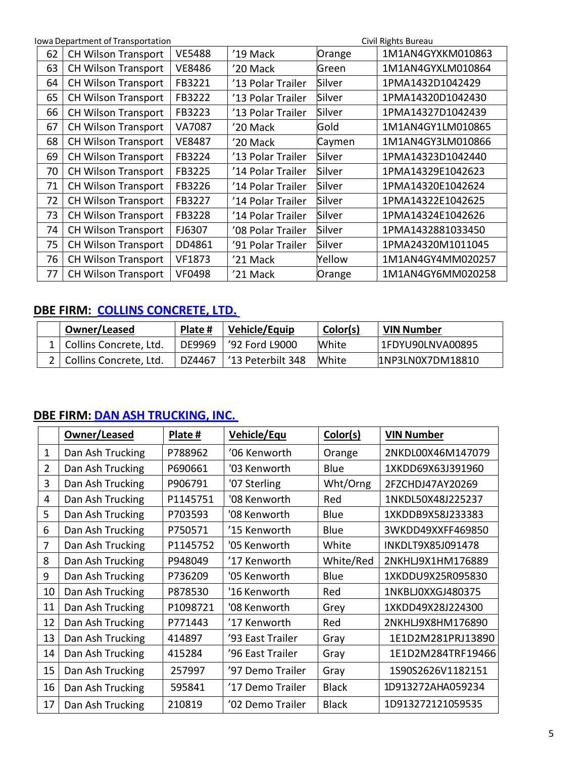|    | Iowa Department of Transportation |               | Civil Rights Bureau |        |                   |
|----|-----------------------------------|---------------|---------------------|--------|-------------------|
| 62 | <b>CH Wilson Transport</b>        | <b>VE5488</b> | '19 Mack            | Orange | 1M1AN4GYXKM010863 |
| 63 | <b>CH Wilson Transport</b>        | <b>VE8486</b> | '20 Mack            | Green  | 1M1AN4GYXLM010864 |
| 64 | <b>CH Wilson Transport</b>        | FB3221        | '13 Polar Trailer   | Silver | 1PMA1432D1042429  |
| 65 | <b>CH Wilson Transport</b>        | FB3222        | '13 Polar Trailer   | Silver | 1PMA14320D1042430 |
| 66 | <b>CH Wilson Transport</b>        | FB3223        | '13 Polar Trailer   | Silver | 1PMA14327D1042439 |
| 67 | <b>CH Wilson Transport</b>        | VA7087        | '20 Mack            | Gold   | 1M1AN4GY1LM010865 |
| 68 | <b>CH Wilson Transport</b>        | <b>VE8487</b> | '20 Mack            | Caymen | 1M1AN4GY3LM010866 |
| 69 | <b>CH Wilson Transport</b>        | FB3224        | '13 Polar Trailer   | Silver | 1PMA14323D1042440 |
| 70 | <b>CH Wilson Transport</b>        | FB3225        | '14 Polar Trailer   | Silver | 1PMA14329E1042623 |
| 71 | <b>CH Wilson Transport</b>        | FB3226        | '14 Polar Trailer   | Silver | 1PMA14320E1042624 |
| 72 | <b>CH Wilson Transport</b>        | FB3227        | '14 Polar Trailer   | Silver | 1PMA14322E1042625 |
| 73 | <b>CH Wilson Transport</b>        | FB3228        | '14 Polar Trailer   | Silver | 1PMA14324E1042626 |
| 74 | <b>CH Wilson Transport</b>        | FJ6307        | '08 Polar Trailer   | Silver | 1PMA1432881033450 |
| 75 | <b>CH Wilson Transport</b>        | DD4861        | '91 Polar Trailer   | Silver | 1PMA24320M1011045 |
| 76 | <b>CH Wilson Transport</b>        | VF1873        | '21 Mack            | Yellow | 1M1AN4GY4MM020257 |
| 77 | <b>CH Wilson Transport</b>        | <b>VF0498</b> | '21 Mack            | Orange | 1M1AN4GY6MM020258 |

# <span id="page-4-0"></span>**DBE FIRM: COLLINS CONCRETE, LTD.**

| Owner/Leased               | Plate # | Vehicle/Equip     | Color(s) | VIN Number        |
|----------------------------|---------|-------------------|----------|-------------------|
| 1   Collins Concrete, Ltd. | DE9969  | '92 Ford L9000    | White    | 1FDYU90LNVA00895  |
| 2   Collins Concrete, Ltd. | DZ4467  | '13 Peterbilt 348 | White    | LINP3LN0X7DM18810 |

## <span id="page-4-1"></span>**DBE FIRM: DAN ASH [TRUCKING,](https://secure.iowadot.gov/DBE/Directory/Details/135?currentFilter=Dan%20Ash%20Trucking%2C%20Inc.&currentType=firmName) INC.**

|                | Owner/Leased     | Plate #  | <b>Vehicle/Equ</b> | Color(s)     | <b>VIN Number</b> |
|----------------|------------------|----------|--------------------|--------------|-------------------|
| 1              | Dan Ash Trucking | P788962  | '06 Kenworth       | Orange       | 2NKDL00X46M147079 |
| $\overline{2}$ | Dan Ash Trucking | P690661  | '03 Kenworth       | Blue         | 1XKDD69X63J391960 |
| 3              | Dan Ash Trucking | P906791  | '07 Sterling       | Wht/Orng     | 2FZCHDJ47AY20269  |
| 4              | Dan Ash Trucking | P1145751 | '08 Kenworth       | Red          | 1NKDL50X48J225237 |
| 5              | Dan Ash Trucking | P703593  | '08 Kenworth       | Blue         | 1XKDDB9X58J233383 |
| 6              | Dan Ash Trucking | P750571  | '15 Kenworth       | Blue         | 3WKDD49XXFF469850 |
| 7              | Dan Ash Trucking | P1145752 | '05 Kenworth       | White        | INKDLT9X85J091478 |
| 8              | Dan Ash Trucking | P948049  | '17 Kenworth       | White/Red    | 2NKHLJ9X1HM176889 |
| 9              | Dan Ash Trucking | P736209  | '05 Kenworth       | Blue         | 1XKDDU9X25R095830 |
| 10             | Dan Ash Trucking | P878530  | '16 Kenworth       | Red          | 1NKBLJ0XXGJ480375 |
| 11             | Dan Ash Trucking | P1098721 | '08 Kenworth       | Grey         | 1XKDD49X28J224300 |
| 12             | Dan Ash Trucking | P771443  | '17 Kenworth       | Red          | 2NKHLJ9X8HM176890 |
| 13             | Dan Ash Trucking | 414897   | '93 East Trailer   | Gray         | 1E1D2M281PRJ13890 |
| 14             | Dan Ash Trucking | 415284   | '96 East Trailer   | Gray         | 1E1D2M284TRF19466 |
| 15             | Dan Ash Trucking | 257997   | '97 Demo Trailer   | Gray         | 1S90S2626V1182151 |
| 16             | Dan Ash Trucking | 595841   | '17 Demo Trailer   | <b>Black</b> | 1D913272AHA059234 |
| 17             | Dan Ash Trucking | 210819   | '02 Demo Trailer   | <b>Black</b> | 1D913272121059535 |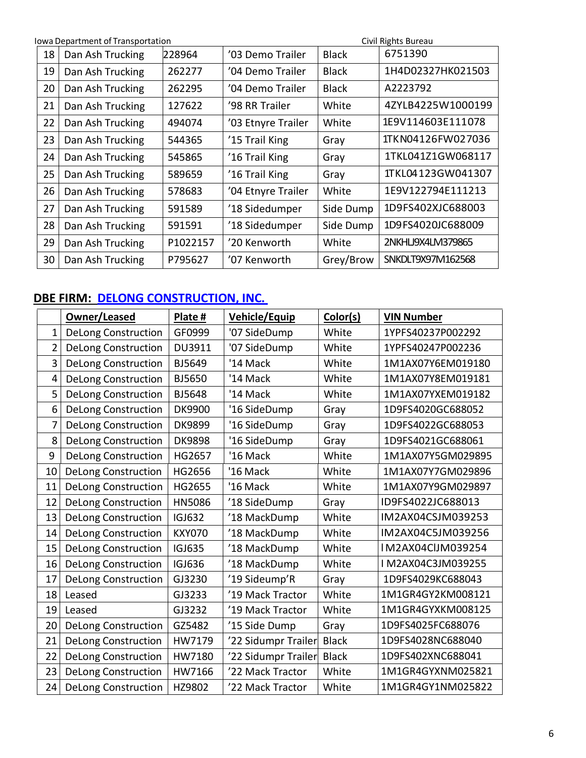| Iowa Department of Transportation |                  |          |                    |              | Civil Rights Bureau |
|-----------------------------------|------------------|----------|--------------------|--------------|---------------------|
| 18                                | Dan Ash Trucking | 228964   | '03 Demo Trailer   | <b>Black</b> | 6751390             |
| 19                                | Dan Ash Trucking | 262277   | '04 Demo Trailer   | <b>Black</b> | 1H4D02327HK021503   |
| 20                                | Dan Ash Trucking | 262295   | '04 Demo Trailer   | <b>Black</b> | A2223792            |
| 21                                | Dan Ash Trucking | 127622   | '98 RR Trailer     | White        | 4ZYLB4225W1000199   |
| 22                                | Dan Ash Trucking | 494074   | '03 Etnyre Trailer | White        | 1E9V114603E111078   |
| 23                                | Dan Ash Trucking | 544365   | '15 Trail King     | Gray         | 1TKN04126FW027036   |
| 24                                | Dan Ash Trucking | 545865   | '16 Trail King     | Gray         | 1TKL041Z1GW068117   |
| 25                                | Dan Ash Trucking | 589659   | '16 Trail King     | Gray         | 1TKL04123GW041307   |
| 26                                | Dan Ash Trucking | 578683   | '04 Etnyre Trailer | White        | 1E9V122794E111213   |
| 27                                | Dan Ash Trucking | 591589   | '18 Sidedumper     | Side Dump    | 1D9FS402XJC688003   |
| 28                                | Dan Ash Trucking | 591591   | '18 Sidedumper     | Side Dump    | 1D9FS4020JC688009   |
| 29                                | Dan Ash Trucking | P1022157 | '20 Kenworth       | White        | 2NKHLJ9X4LM379865   |
| 30                                | Dan Ash Trucking | P795627  | '07 Kenworth       | Grey/Brow    | SNKDLT9X97M162568   |

# <span id="page-5-0"></span>**DBE FIRM: DELONG [CONSTRUCTION,](https://secure.iowadot.gov/DBE/Directory/Details/150?currentFilter=DeLong%20Construction%2C%20Inc.&currentType=firmName) INC.**

|                | Owner/Leased               | Plate #       | <b>Vehicle/Equip</b> | Color(s)     | <b>VIN Number</b> |
|----------------|----------------------------|---------------|----------------------|--------------|-------------------|
| $\mathbf{1}$   | <b>DeLong Construction</b> | GF0999        | '07 SideDump         | White        | 1YPFS40237P002292 |
| $\overline{2}$ | <b>DeLong Construction</b> | DU3911        | '07 SideDump         | White        | 1YPFS40247P002236 |
| 3              | <b>DeLong Construction</b> | BJ5649        | '14 Mack             | White        | 1M1AX07Y6EM019180 |
| 4              | <b>DeLong Construction</b> | BJ5650        | '14 Mack             | White        | 1M1AX07Y8EM019181 |
| 5              | <b>DeLong Construction</b> | <b>BJ5648</b> | '14 Mack             | White        | 1M1AX07YXEM019182 |
| 6              | <b>DeLong Construction</b> | <b>DK9900</b> | '16 SideDump         | Gray         | 1D9FS4020GC688052 |
| $\overline{7}$ | <b>DeLong Construction</b> | <b>DK9899</b> | '16 SideDump         | Gray         | 1D9FS4022GC688053 |
| 8              | <b>DeLong Construction</b> | <b>DK9898</b> | '16 SideDump         | Gray         | 1D9FS4021GC688061 |
| 9              | <b>DeLong Construction</b> | HG2657        | '16 Mack             | White        | 1M1AX07Y5GM029895 |
| 10             | <b>DeLong Construction</b> | HG2656        | '16 Mack             | White        | 1M1AX07Y7GM029896 |
| 11             | <b>DeLong Construction</b> | HG2655        | '16 Mack             | White        | 1M1AX07Y9GM029897 |
| 12             | <b>DeLong Construction</b> | <b>HN5086</b> | '18 SideDump         | Gray         | ID9FS4022JC688013 |
| 13             | <b>DeLong Construction</b> | <b>IGJ632</b> | '18 MackDump         | White        | IM2AX04CSJM039253 |
| 14             | <b>DeLong Construction</b> | <b>KXY070</b> | '18 MackDump         | White        | IM2AX04C5JM039256 |
| 15             | <b>DeLong Construction</b> | <b>IGJ635</b> | '18 MackDump         | White        | IM2AX04ClJM039254 |
| 16             | <b>DeLong Construction</b> | <b>IGJ636</b> | '18 MackDump         | White        | IM2AX04C3JM039255 |
| 17             | <b>DeLong Construction</b> | GJ3230        | '19 Sideump'R        | Gray         | 1D9FS4029KC688043 |
| 18             | Leased                     | GJ3233        | '19 Mack Tractor     | White        | 1M1GR4GY2KM008121 |
| 19             | Leased                     | GJ3232        | '19 Mack Tractor     | White        | 1M1GR4GYXKM008125 |
| 20             | <b>DeLong Construction</b> | GZ5482        | '15 Side Dump        | Gray         | 1D9FS4025FC688076 |
| 21             | <b>DeLong Construction</b> | HW7179        | '22 Sidumpr Trailer  | <b>Black</b> | 1D9FS4028NC688040 |
| 22             | <b>DeLong Construction</b> | HW7180        | '22 Sidumpr Trailer  | <b>Black</b> | 1D9FS402XNC688041 |
| 23             | <b>DeLong Construction</b> | HW7166        | '22 Mack Tractor     | White        | 1M1GR4GYXNM025821 |
| 24             | <b>DeLong Construction</b> | HZ9802        | '22 Mack Tractor     | White        | 1M1GR4GY1NM025822 |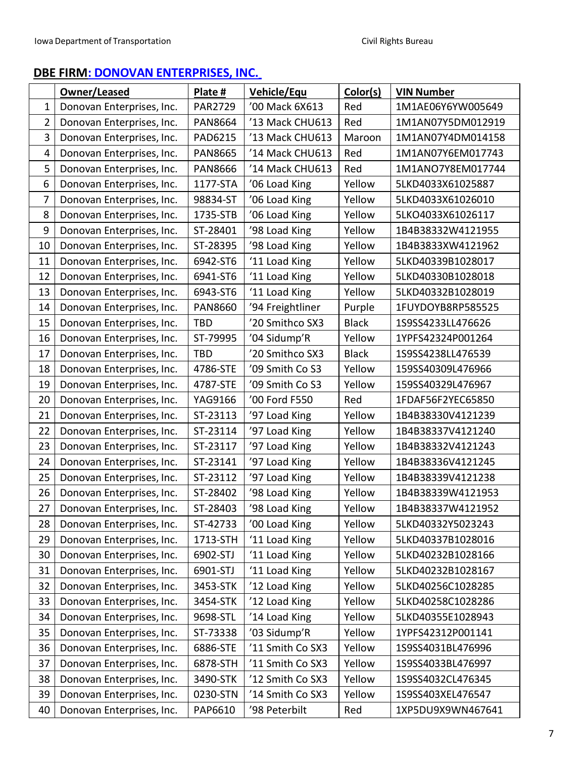## <span id="page-6-0"></span>**DBE FIRM: DONOVAN [ENTERPRISES,](#page-7-0) INC.**

|                | Owner/Leased              | Plate #        | <b>Vehicle/Equ</b> | Color(s)     | <b>VIN Number</b> |
|----------------|---------------------------|----------------|--------------------|--------------|-------------------|
| $\mathbf 1$    | Donovan Enterprises, Inc. | PAR2729        | '00 Mack 6X613     | Red          | 1M1AE06Y6YW005649 |
| $\overline{2}$ | Donovan Enterprises, Inc. | <b>PAN8664</b> | '13 Mack CHU613    | Red          | 1M1AN07Y5DM012919 |
| 3              | Donovan Enterprises, Inc. | PAD6215        | '13 Mack CHU613    | Maroon       | 1M1AN07Y4DM014158 |
| 4              | Donovan Enterprises, Inc. | <b>PAN8665</b> | '14 Mack CHU613    | Red          | 1M1AN07Y6EM017743 |
| 5              | Donovan Enterprises, Inc. | <b>PAN8666</b> | '14 Mack CHU613    | Red          | 1M1ANO7Y8EM017744 |
| 6              | Donovan Enterprises, Inc. | 1177-STA       | '06 Load King      | Yellow       | 5LKD4033X61025887 |
| 7              | Donovan Enterprises, Inc. | 98834-ST       | '06 Load King      | Yellow       | 5LKD4033X61026010 |
| 8              | Donovan Enterprises, Inc. | 1735-STB       | '06 Load King      | Yellow       | 5LKO4033X61026117 |
| 9              | Donovan Enterprises, Inc. | ST-28401       | '98 Load King      | Yellow       | 1B4B38332W4121955 |
| 10             | Donovan Enterprises, Inc. | ST-28395       | '98 Load King      | Yellow       | 1B4B3833XW4121962 |
| 11             | Donovan Enterprises, Inc. | 6942-ST6       | '11 Load King      | Yellow       | 5LKD40339B1028017 |
| 12             | Donovan Enterprises, Inc. | 6941-ST6       | '11 Load King      | Yellow       | 5LKD40330B1028018 |
| 13             | Donovan Enterprises, Inc. | 6943-ST6       | '11 Load King      | Yellow       | 5LKD40332B1028019 |
| 14             | Donovan Enterprises, Inc. | <b>PAN8660</b> | '94 Freightliner   | Purple       | 1FUYDOYB8RP585525 |
| 15             | Donovan Enterprises, Inc. | <b>TBD</b>     | '20 Smithco SX3    | <b>Black</b> | 1S9SS4233LL476626 |
| 16             | Donovan Enterprises, Inc. | ST-79995       | '04 Sidump'R       | Yellow       | 1YPFS42324P001264 |
| 17             | Donovan Enterprises, Inc. | <b>TBD</b>     | '20 Smithco SX3    | <b>Black</b> | 1S9SS4238LL476539 |
| 18             | Donovan Enterprises, Inc. | 4786-STE       | '09 Smith Co S3    | Yellow       | 159SS40309L476966 |
| 19             | Donovan Enterprises, Inc. | 4787-STE       | '09 Smith Co S3    | Yellow       | 159SS40329L476967 |
| 20             | Donovan Enterprises, Inc. | YAG9166        | '00 Ford F550      | Red          | 1FDAF56F2YEC65850 |
| 21             | Donovan Enterprises, Inc. | ST-23113       | '97 Load King      | Yellow       | 1B4B38330V4121239 |
| 22             | Donovan Enterprises, Inc. | ST-23114       | '97 Load King      | Yellow       | 1B4B38337V4121240 |
| 23             | Donovan Enterprises, Inc. | ST-23117       | '97 Load King      | Yellow       | 1B4B38332V4121243 |
| 24             | Donovan Enterprises, Inc. | ST-23141       | '97 Load King      | Yellow       | 1B4B38336V4121245 |
| 25             | Donovan Enterprises, Inc. | ST-23112       | '97 Load King      | Yellow       | 1B4B38339V4121238 |
| 26             | Donovan Enterprises, Inc. | ST-28402       | '98 Load King      | Yellow       | 1B4B38339W4121953 |
| 27             | Donovan Enterprises, Inc. | ST-28403       | '98 Load King      | Yellow       | 1B4B38337W4121952 |
| 28             | Donovan Enterprises, Inc. | ST-42733       | '00 Load King      | Yellow       | 5LKD40332Y5023243 |
| 29             | Donovan Enterprises, Inc. | 1713-STH       | '11 Load King      | Yellow       | 5LKD40337B1028016 |
| 30             | Donovan Enterprises, Inc. | 6902-STJ       | '11 Load King      | Yellow       | 5LKD40232B1028166 |
| 31             | Donovan Enterprises, Inc. | 6901-STJ       | '11 Load King      | Yellow       | 5LKD40232B1028167 |
| 32             | Donovan Enterprises, Inc. | 3453-STK       | '12 Load King      | Yellow       | 5LKD40256C1028285 |
| 33             | Donovan Enterprises, Inc. | 3454-STK       | '12 Load King      | Yellow       | 5LKD40258C1028286 |
| 34             | Donovan Enterprises, Inc. | 9698-STL       | '14 Load King      | Yellow       | 5LKD40355E1028943 |
| 35             | Donovan Enterprises, Inc. | ST-73338       | '03 Sidump'R       | Yellow       | 1YPFS42312P001141 |
| 36             | Donovan Enterprises, Inc. | 6886-STE       | '11 Smith Co SX3   | Yellow       | 1S9SS4031BL476996 |
| 37             | Donovan Enterprises, Inc. | 6878-STH       | '11 Smith Co SX3   | Yellow       | 1S9SS4033BL476997 |
| 38             | Donovan Enterprises, Inc. | 3490-STK       | '12 Smith Co SX3   | Yellow       | 1S9SS4032CL476345 |
| 39             | Donovan Enterprises, Inc. | 0230-STN       | '14 Smith Co SX3   | Yellow       | 1S9SS403XEL476547 |
| 40             | Donovan Enterprises, Inc. | PAP6610        | '98 Peterbilt      | Red          | 1XP5DU9X9WN467641 |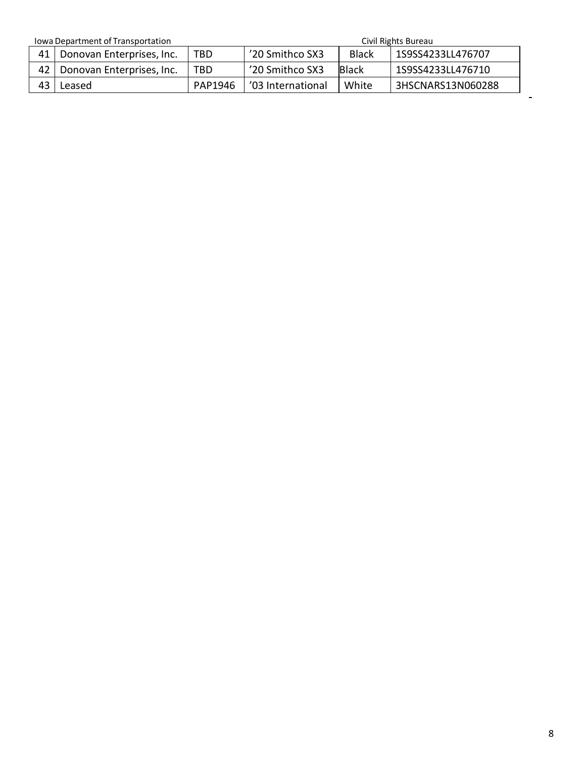Iowa Department of Transportation Civil Rights Bureau

 $\blacksquare$ 

<span id="page-7-0"></span>

| <u>IUWA DEDAI (ITIEHTU TITAHSDUI tATIUH</u> |         |                    |              | CIVII INGHIIS DUI CAU |
|---------------------------------------------|---------|--------------------|--------------|-----------------------|
| 41   Donovan Enterprises, Inc.              | TBD     | '20 Smithco SX3    | <b>Black</b> | 1S9SS4233LL476707     |
| Donovan Enterprises, Inc.                   | TBD     | '20 Smithco SX3    | <b>Black</b> | 1S9SS4233LL476710     |
| Leased                                      | PAP1946 | 1'03 International | White        | 3HSCNARS13N060288     |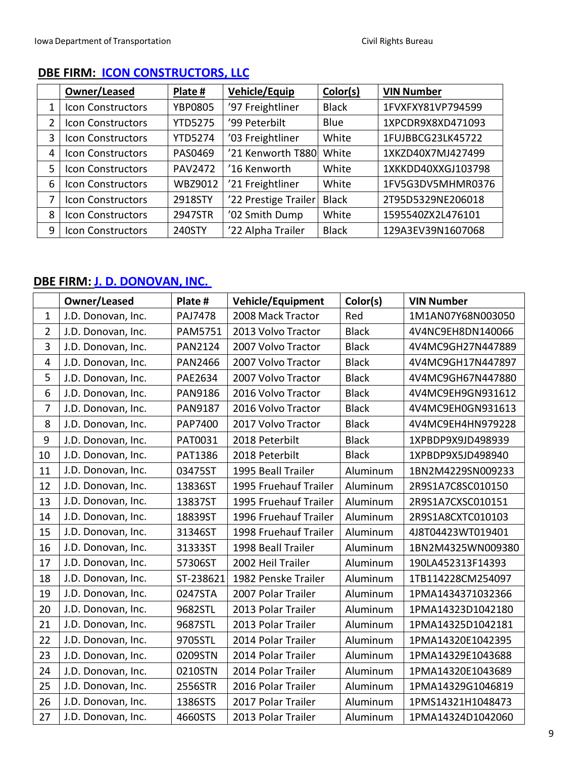|   | Owner/Leased             | Plate #        | Vehicle/Equip        | Color(s)     | <b>VIN Number</b>  |
|---|--------------------------|----------------|----------------------|--------------|--------------------|
| 1 | Icon Constructors        | <b>YBP0805</b> | '97 Freightliner     | <b>Black</b> | 1FVXFXY81VP794599  |
| 2 | Icon Constructors        | <b>YTD5275</b> | '99 Peterbilt        | Blue         | 1XPCDR9X8XD471093  |
| 3 | Icon Constructors        | <b>YTD5274</b> | '03 Freightliner     | White        | 1FUJBBCG23LK45722  |
| 4 | Icon Constructors        | PAS0469        | '21 Kenworth T880    | White        | 1XKZD40X7MJ427499  |
| 5 | Icon Constructors        | <b>PAV2472</b> | '16 Kenworth         | White        | 1XKKDD40XXGJ103798 |
| 6 | <b>Icon Constructors</b> | WBZ9012        | '21 Freightliner     | White        | 1FV5G3DV5MHMR0376  |
| 7 | Icon Constructors        | 2918STY        | '22 Prestige Trailer | <b>Black</b> | 2T95D5329NE206018  |
| 8 | Icon Constructors        | 2947STR        | '02 Smith Dump       | White        | 1595540ZX2L476101  |
| 9 | Icon Constructors        | 240STY         | '22 Alpha Trailer    | <b>Black</b> | 129A3EV39N1607068  |

## **DBE FIRM: ICON CONSTRUCTORS, LLC**

#### <span id="page-8-0"></span>**DBE FIRM: J. D. [DONOVAN,](https://secure.iowadot.gov/DBE/Directory/Details/136?currentFilter=J.%20D.%20Donovan%2C%20Inc.&currentType=firmName) INC.**

|                         | Owner/Leased       | Plate #        | <b>Vehicle/Equipment</b> | Color(s)     | <b>VIN Number</b> |
|-------------------------|--------------------|----------------|--------------------------|--------------|-------------------|
| $\mathbf{1}$            | J.D. Donovan, Inc. | <b>PAJ7478</b> | 2008 Mack Tractor        | Red          | 1M1AN07Y68N003050 |
| $\overline{2}$          | J.D. Donovan, Inc. | <b>PAM5751</b> | 2013 Volvo Tractor       | <b>Black</b> | 4V4NC9EH8DN140066 |
| 3                       | J.D. Donovan, Inc. | <b>PAN2124</b> | 2007 Volvo Tractor       | <b>Black</b> | 4V4MC9GH27N447889 |
| $\overline{\mathbf{r}}$ | J.D. Donovan, Inc. | <b>PAN2466</b> | 2007 Volvo Tractor       | <b>Black</b> | 4V4MC9GH17N447897 |
| 5                       | J.D. Donovan, Inc. | PAE2634        | 2007 Volvo Tractor       | <b>Black</b> | 4V4MC9GH67N447880 |
| 6                       | J.D. Donovan, Inc. | <b>PAN9186</b> | 2016 Volvo Tractor       | <b>Black</b> | 4V4MC9EH9GN931612 |
| $\overline{7}$          | J.D. Donovan, Inc. | <b>PAN9187</b> | 2016 Volvo Tractor       | <b>Black</b> | 4V4MC9EH0GN931613 |
| 8                       | J.D. Donovan, Inc. | PAP7400        | 2017 Volvo Tractor       | <b>Black</b> | 4V4MC9EH4HN979228 |
| 9                       | J.D. Donovan, Inc. | PAT0031        | 2018 Peterbilt           | <b>Black</b> | 1XPBDP9X9JD498939 |
| 10                      | J.D. Donovan, Inc. | PAT1386        | 2018 Peterbilt           | <b>Black</b> | 1XPBDP9X5JD498940 |
| 11                      | J.D. Donovan, Inc. | 03475ST        | 1995 Beall Trailer       | Aluminum     | 1BN2M4229SN009233 |
| 12                      | J.D. Donovan, Inc. | 13836ST        | 1995 Fruehauf Trailer    | Aluminum     | 2R9S1A7C8SC010150 |
| 13                      | J.D. Donovan, Inc. | 13837ST        | 1995 Fruehauf Trailer    | Aluminum     | 2R9S1A7CXSC010151 |
| 14                      | J.D. Donovan, Inc. | 18839ST        | 1996 Fruehauf Trailer    | Aluminum     | 2R9S1A8CXTC010103 |
| 15                      | J.D. Donovan, Inc. | 31346ST        | 1998 Fruehauf Trailer    | Aluminum     | 4J8T04423WT019401 |
| 16                      | J.D. Donovan, Inc. | 31333ST        | 1998 Beall Trailer       | Aluminum     | 1BN2M4325WN009380 |
| 17                      | J.D. Donovan, Inc. | 57306ST        | 2002 Heil Trailer        | Aluminum     | 190LA452313F14393 |
| 18                      | J.D. Donovan, Inc. | ST-238621      | 1982 Penske Trailer      | Aluminum     | 1TB114228CM254097 |
| 19                      | J.D. Donovan, Inc. | 0247STA        | 2007 Polar Trailer       | Aluminum     | 1PMA1434371032366 |
| 20                      | J.D. Donovan, Inc. | 9682STL        | 2013 Polar Trailer       | Aluminum     | 1PMA14323D1042180 |
| 21                      | J.D. Donovan, Inc. | 9687STL        | 2013 Polar Trailer       | Aluminum     | 1PMA14325D1042181 |
| 22                      | J.D. Donovan, Inc. | 9705STL        | 2014 Polar Trailer       | Aluminum     | 1PMA14320E1042395 |
| 23                      | J.D. Donovan, Inc. | 0209STN        | 2014 Polar Trailer       | Aluminum     | 1PMA14329E1043688 |
| 24                      | J.D. Donovan, Inc. | 0210STN        | 2014 Polar Trailer       | Aluminum     | 1PMA14320E1043689 |
| 25                      | J.D. Donovan, Inc. | 2556STR        | 2016 Polar Trailer       | Aluminum     | 1PMA14329G1046819 |
| 26                      | J.D. Donovan, Inc. | 1386STS        | 2017 Polar Trailer       | Aluminum     | 1PMS14321H1048473 |
| 27                      | J.D. Donovan, Inc. | 4660STS        | 2013 Polar Trailer       | Aluminum     | 1PMA14324D1042060 |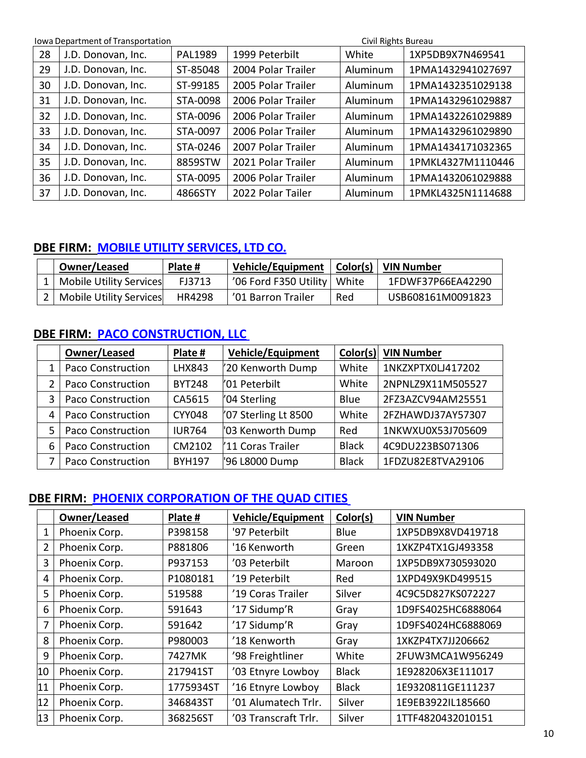|    | Iowa Department of Transportation |                | Civil Rights Bureau |          |                   |  |
|----|-----------------------------------|----------------|---------------------|----------|-------------------|--|
| 28 | J.D. Donovan, Inc.                | <b>PAL1989</b> | 1999 Peterbilt      | White    | 1XP5DB9X7N469541  |  |
| 29 | J.D. Donovan, Inc.                | ST-85048       | 2004 Polar Trailer  | Aluminum | 1PMA1432941027697 |  |
| 30 | J.D. Donovan, Inc.                | ST-99185       | 2005 Polar Trailer  | Aluminum | 1PMA1432351029138 |  |
| 31 | J.D. Donovan, Inc.                | STA-0098       | 2006 Polar Trailer  | Aluminum | 1PMA1432961029887 |  |
| 32 | J.D. Donovan, Inc.                | STA-0096       | 2006 Polar Trailer  | Aluminum | 1PMA1432261029889 |  |
| 33 | J.D. Donovan, Inc.                | STA-0097       | 2006 Polar Trailer  | Aluminum | 1PMA1432961029890 |  |
| 34 | J.D. Donovan, Inc.                | STA-0246       | 2007 Polar Trailer  | Aluminum | 1PMA1434171032365 |  |
| 35 | J.D. Donovan, Inc.                | 8859STW        | 2021 Polar Trailer  | Aluminum | 1PMKL4327M1110446 |  |
| 36 | J.D. Donovan, Inc.                | STA-0095       | 2006 Polar Trailer  | Aluminum | 1PMA1432061029888 |  |
| 37 | J.D. Donovan, Inc.                | 4866STY        | 2022 Polar Tailer   | Aluminum | 1PMKL4325N1114688 |  |

### <span id="page-9-0"></span>**DBE FIRM: MOBILE UTILITY SERVICES, LTD CO.**

| Owner/Leased                | Plate # | Vehicle/Equipment   Color(s)   VIN Number |     |                   |
|-----------------------------|---------|-------------------------------------------|-----|-------------------|
| Mobile Utility Services     | FJ3713  | '06 Ford F350 Utility   White             |     | 1FDWF37P66EA42290 |
| 2   Mobile Utility Services | HR4298  | '01 Barron Trailer                        | Red | USB608161M0091823 |

## <span id="page-9-1"></span>**DBE FIRM: PACO CONSTRUCTION, LLC**

|   | Owner/Leased             | Plate #       | <b>Vehicle/Equipment</b> | Color(s)     | <b>VIN Number</b> |
|---|--------------------------|---------------|--------------------------|--------------|-------------------|
| 1 | <b>Paco Construction</b> | <b>LHX843</b> | 20 Kenworth Dump         | White        | 1NKZXPTX0LJ417202 |
| 2 | Paco Construction        | <b>BYT248</b> | '01 Peterbilt            | White        | 2NPNLZ9X11M505527 |
| 3 | <b>Paco Construction</b> | CA5615        | '04 Sterling             | Blue         | 2FZ3AZCV94AM25551 |
| 4 | Paco Construction        | <b>CYY048</b> | '07 Sterling Lt 8500     | White        | 2FZHAWDJ37AY57307 |
| 5 | <b>Paco Construction</b> | <b>IUR764</b> | '03 Kenworth Dump        | Red          | 1NKWXU0X53J705609 |
| 6 | <b>Paco Construction</b> | CM2102        | '11 Coras Trailer        | <b>Black</b> | 4C9DU223BS071306  |
| 7 | <b>Paco Construction</b> | <b>BYH197</b> | '96 L8000 Dump           | <b>Black</b> | 1FDZU82E8TVA29106 |

#### **DBE FIRM: PHOENIX CORPORATION OF THE QUAD CITIES**

|                | Owner/Leased  | Plate #   | <b>Vehicle/Equipment</b> | Color(s)     | <b>VIN Number</b>  |
|----------------|---------------|-----------|--------------------------|--------------|--------------------|
| 1              | Phoenix Corp. | P398158   | '97 Peterbilt            | Blue         | 1XP5DB9X8VD419718  |
| $\overline{2}$ | Phoenix Corp. | P881806   | '16 Kenworth             | Green        | 1XKZP4TX1GJ493358  |
| 3              | Phoenix Corp. | P937153   | '03 Peterbilt            | Maroon       | 1XP5DB9X730593020  |
| 4              | Phoenix Corp. | P1080181  | '19 Peterbilt            | Red          | 1XPD49X9KD499515   |
| 5              | Phoenix Corp. | 519588    | '19 Coras Trailer        | Silver       | 4C9C5D827KS072227  |
| 6              | Phoenix Corp. | 591643    | '17 Sidump'R             | Gray         | 1D9FS4025HC6888064 |
| 7              | Phoenix Corp. | 591642    | '17 Sidump'R             | Gray         | 1D9FS4024HC6888069 |
| 8              | Phoenix Corp. | P980003   | '18 Kenworth             | Gray         | 1XKZP4TX7JJ206662  |
| 9              | Phoenix Corp. | 7427MK    | '98 Freightliner         | White        | 2FUW3MCA1W956249   |
| 10             | Phoenix Corp. | 217941ST  | '03 Etnyre Lowboy        | <b>Black</b> | 1E928206X3E111017  |
| 11             | Phoenix Corp. | 1775934ST | '16 Etnyre Lowboy        | <b>Black</b> | 1E9320811GE111237  |
| 12             | Phoenix Corp. | 346843ST  | '01 Alumatech Trlr.      | Silver       | 1E9EB3922IL185660  |
| 13             | Phoenix Corp. | 368256ST  | '03 Transcraft Trlr.     | Silver       | 1TTF4820432010151  |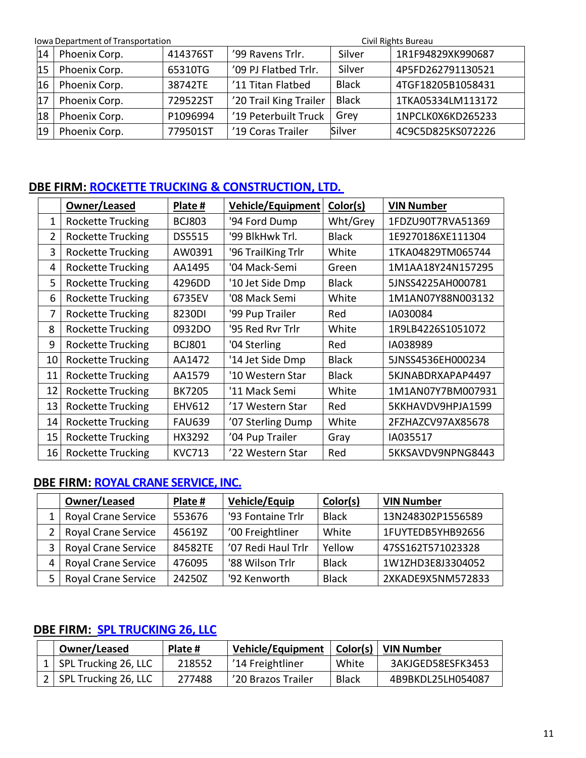**Iowa Department of Transportation** Civil Rights Bureau Civil Rights Bureau Civil Rights Bureau

| 14 | Phoenix Corp. | 414376ST | '99 Ravens Trlr.       | Silver       | 1R1F94829XK990687 |
|----|---------------|----------|------------------------|--------------|-------------------|
| 15 | Phoenix Corp. | 65310TG  | '09 PJ Flatbed Trlr.   | Silver       | 4P5FD262791130521 |
| 16 | Phoenix Corp. | 38742TE  | '11 Titan Flatbed      | <b>Black</b> | 4TGF18205B1058431 |
| 17 | Phoenix Corp. | 729522ST | '20 Trail King Trailer | <b>Black</b> | 1TKA05334LM113172 |
| 18 | Phoenix Corp. | P1096994 | '19 Peterbuilt Truck   | Grev         | 1NPCLK0X6KD265233 |
| 19 | Phoenix Corp. | 779501ST | '19 Coras Trailer      | Silver       | 4C9C5D825KS072226 |

#### **DBE FIRM: [ROCKETTE TRUCKING](https://secure.iowadot.gov/DBE/Directory/Details/23?currentFilter=Rockette%20Trucking%20%26%20Construction%20Ltd.&currentType=firmName) & CONSTRUCTION, LTD.**

|                | Owner/Leased             | Plate #       | <b>Vehicle/Equipment</b> | Color(s)     | <b>VIN Number</b> |
|----------------|--------------------------|---------------|--------------------------|--------------|-------------------|
| 1              | <b>Rockette Trucking</b> | <b>BCJ803</b> | '94 Ford Dump            | Wht/Grey     | 1FDZU90T7RVA51369 |
| $\overline{2}$ | <b>Rockette Trucking</b> | DS5515        | '99 BlkHwk Trl.          | <b>Black</b> | 1E9270186XE111304 |
| 3              | <b>Rockette Trucking</b> | AW0391        | '96 TrailKing Trlr       | White        | 1TKA04829TM065744 |
| 4              | Rockette Trucking        | AA1495        | '04 Mack-Semi            | Green        | 1M1AA18Y24N157295 |
| 5              | <b>Rockette Trucking</b> | 4296DD        | '10 Jet Side Dmp         | <b>Black</b> | 5JNSS4225AH000781 |
| 6              | <b>Rockette Trucking</b> | 6735EV        | '08 Mack Semi            | White        | 1M1AN07Y88N003132 |
| 7              | <b>Rockette Trucking</b> | 8230DI        | '99 Pup Trailer          | Red          | IA030084          |
| 8              | <b>Rockette Trucking</b> | 0932DO        | '95 Red Ryr Trlr         | White        | 1R9LB4226S1051072 |
| 9              | <b>Rockette Trucking</b> | <b>BCJ801</b> | '04 Sterling             | Red          | IA038989          |
| 10             | <b>Rockette Trucking</b> | AA1472        | '14 Jet Side Dmp         | <b>Black</b> | 5JNSS4536EH000234 |
| 11             | <b>Rockette Trucking</b> | AA1579        | '10 Western Star         | <b>Black</b> | 5KJNABDRXAPAP4497 |
| 12             | <b>Rockette Trucking</b> | <b>BK7205</b> | '11 Mack Semi            | White        | 1M1AN07Y7BM007931 |
| 13             | <b>Rockette Trucking</b> | <b>EHV612</b> | '17 Western Star         | Red          | 5KKHAVDV9HPJA1599 |
| 14             | <b>Rockette Trucking</b> | <b>FAU639</b> | '07 Sterling Dump        | White        | 2FZHAZCV97AX85678 |
| 15             | <b>Rockette Trucking</b> | HX3292        | '04 Pup Trailer          | Gray         | IA035517          |
| 16             | <b>Rockette Trucking</b> | <b>KVC713</b> | '22 Western Star         | Red          | 5KKSAVDV9NPNG8443 |

#### <span id="page-10-1"></span>**DBE FIRM: ROYAL CRANE SERVICE, INC.**

|   | Owner/Leased               | Plate # | <b>Vehicle/Equip</b> | Color(s)     | <b>VIN Number</b> |
|---|----------------------------|---------|----------------------|--------------|-------------------|
|   | <b>Royal Crane Service</b> | 553676  | '93 Fontaine Trlr    | <b>Black</b> | 13N248302P1556589 |
|   | <b>Royal Crane Service</b> | 45619Z  | '00 Freightliner     | White        | 1FUYTEDB5YHB92656 |
|   | <b>Royal Crane Service</b> | 84582TE | '07 Redi Haul Trlr   | Yellow       | 47SS162T571023328 |
| 4 | <b>Royal Crane Service</b> | 476095  | '88 Wilson Trlr      | <b>Black</b> | 1W1ZHD3E8J3304052 |
| 5 | <b>Royal Crane Service</b> | 24250Z  | '92 Kenworth         | <b>Black</b> | 2XKADE9X5NM572833 |

#### <span id="page-10-2"></span>**DBE FIRM: SPL TRUCKING 26, LLC**

<span id="page-10-0"></span>

| Owner/Leased                   | Plate # | Vehicle/Equipment   Color(s)   VIN Number |              |                   |
|--------------------------------|---------|-------------------------------------------|--------------|-------------------|
| 1   SPL Trucking 26, LLC       | 218552  | <sup>'</sup> 14 Freightliner              | White        | 3AKJGED58ESFK3453 |
| $\vert$ 2 SPL Trucking 26, LLC | 277488  | '20 Brazos Trailer                        | <b>Black</b> | 4B9BKDL25LH054087 |